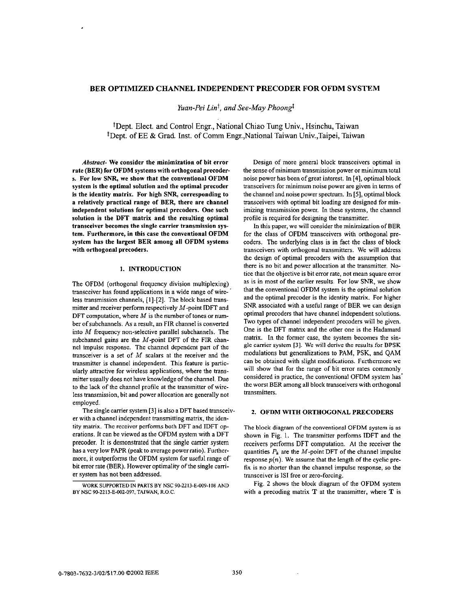# <span id="page-0-0"></span>**BER OPTIMIZED CHANNEL INDEPENDENT PRECODER FOR OFDM SYSTEM**

*Yuan-Pei Lint, and See-May Phoongl* 

'Dept. Elect. and Control Engr., National Chiao Tung Univ., Hsinchu, Taiwan <sup>‡</sup>Dept. of EE & Grad. Inst. of Comm Engr., National Taiwan Univ., Taipei, Taiwan

*Abstract-* We consider the minimization of hit error rate (BER) for OFDM systems with orthogonal precoder**s.** For low *SNQ* we **show** that the conventional OFDM system is the optimal solution and the optimal precoder is the identity matrix. For high SNR, corresponding to a relatively practical range of BER, there are channel independent solutions for optimal precoders. One such solution is the DFT matrix and the resulting optimal transceiver becomes the single carrier transmission system. Furthermore, in this case the conventional OFDM system has the largest BER among all OFDM systems with orthogonal precoders.

## **1.** INTRODUCTION

The OFDM (orthogonal frequency division multiplexing) transceiver has found applications in a wide range of wireless transmission channels, [I]-[2]. The block based transmitter and receiver perform respectively  $M$ -point IDFT and DFT computation, where  $M$  is the number of tones or numher of suhchannels. As a result, an FIR channel is converted into M frequency non-selective parallel subchannels. The subchannel gains are the  $M$ -point DFT of the FIR channel impulse response. The channel dependent part of the transceiver is a set of  $M$  scalars at the receiver and the transmitter is channel independent. This feature is particularly attractive for wireless applications, where the transmitter usually does not have knowledge of the channel. Due to the lack of the channel profile at the transmitter of wireless transmission, bit and power allocation are generally not employed.

er with a channel independent transmitting matrix, the identity matrix. The receiver perfoms both DFT and IDFT operations. It can be viewed as the OFDM system with a DFT precoder. It is demonstrated that the single carrier system has a very low **PAPK** (peak to average power ratio). Furthermore, it outperforms the OFDM system for useful range of bit error rate (BER). However optimality **of** the single carrier system has not been addressed. The single carrier system **[3]** is also a DFT based transceiv.

Design of more general block transceivers optimal in the sense of minimum transmission power or minimum total noise power has been ofgreat interest. In **[4],** optimal block transceivers for minimum noise power are given in terms of the channel and noise power spectrum. In **[SI,** optimal block transceivers with optimal bit loading are designed for minimizing transmission power. In these systems, the channel profile is required for designing the transmitter.

**In** this paper, we will consider the minimization of BER for the class of OFDM transceivers with orthogonal precoders. The underlying class is in fact the class of block transceivers with orthogonal transmitters. We will address the design of optimal precoders with the assumption that there is no hit and power allocation at the transmitter. Notice that the objective is hit error rate, not mean square error as is in most of the earlier results. For low *SNR,* we show that the conventional OFDM system is the optimal solution and the optimal precoder is the identity matrix. For higher *SNR* associated with a useful range of **BEK** we can design optimal precoders that have channel independent solutions. Two types of channel independent precoders will he given. One is the DFT matrix and the other one is the Hadamard matrix. In the former case, the system becomes the single carrier system **131.** We will **derive the results** for **BPSK**  modulations but generalizations to PAM, PSK, and QAM can be obtained with slight modifications. Furthermore we will show that for the range of bit error rates commonly considered in practice, the conventional OFDM system has. the worst **BEK** among all block transceivers with orthogonal transmitters.

### 2. OFDM WITH ORTHOGONAL PRECODERS

The block diagram of the conventional OFDM system is **as**  shown in Fig. 1. The transmitter performs IDFT and the receivers performs DFT computation. At the receiver the quantities  $P_k$  are the M-point DFT of the channel impulse response  $p(n)$ . We assume that the length of the cyclic prefix is no shorter than the channel impulse response, so the transceiver is **IS1** free or zero-forcing.

Fig. *2* shows the block diagram of the OFDM system with a precoding matrix  $T$  at the transmitter, where  $T$  is

**WOKSUPPORTED** IN **PARTS BY NSC 90-2213-E-009.108 AND BY NSC 90-2213-E-002-097, TAIWAN,** R.O.C.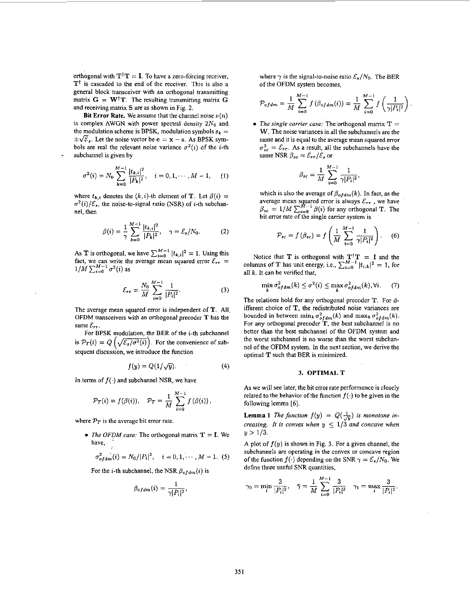orthogonal with  $T^{\dagger}T = I$ . To have a zero-forcing receiver, **Tt** is cascaded to the end of the receiver, This is also a general block transceiver with an orthogonal transmitting matrix  $G = W^{\dagger}T$ . The resulting transmitting matrix G and receiving matrix **S** are as shown in [Fig. 2.](#page-0-0)

Bit Error Rate. We assume that the channel noise  $\nu(n)$ is complex AWGN with power spectral density  $2N_0$  and the modulation scheme is BPSK, modulation symbols  $s_k =$  $\pm \sqrt{\mathcal{E}}_s$ . Let the noise vector be **e** = **x** - **s**. As BPSK symbols are real the relevant noise variance  $\sigma^2(i)$  of the *i*-th subchannel is given by *i*<sub>c</sub>  $\overline{\mathcal{E}}_s$ . Let the noise vector be  $e = x - s$ . As BPSK sym-<br>*i*  $\overline{\mathcal{E}}_s$ . Let the noise vector be  $e = x - s$ . As BPSK sym-<br>*s* are real the relevant noise variance  $\sigma^2(i)$  of the *i*-th<br>channel is given by<br> $\sigma^$ 

$$
\sigma^{2}(i) = N_{0} \sum_{k=0}^{M-1} \frac{|t_{k,i}|^{2}}{|P_{k}|^{2}}, \quad i = 0, 1, \cdots, M-1, \quad (1)
$$

where  $t_{k,i}$  denotes the  $(k,i)$ -th element of **T**. Let  $\beta(i)$  =  $\sigma^2(i)/\mathcal{E}_s$ , the noise-to-signal ratio (NSR) of *i*-th subchannel, then

$$
\beta(i) = \frac{1}{\gamma} \sum_{k=0}^{M-1} \frac{|t_{k,i}|^2}{|P_k|^2}, \quad \gamma = \mathcal{E}_s/N_0.
$$
 (2)

As **T** is orthogonal, we have  $\sum_{i=0}^{M-1} |t_{k,i}|^2 = 1$ . Using this fact, we can write the average mean squared error  $\mathcal{E}_{rr}$  =  $1/M \sum_{i=0}^{M-1} \sigma^2(i)$  as

$$
\mathcal{E}_{rr} = \frac{N_0}{M} \sum_{i=0}^{M-1} \frac{1}{|P_i|^2}.
$$
 (3)

The average mean squared error is independent of **T.** All OFDM transceivers with an orthogonal precoder T has the same  $\mathcal{E}_{rr}$ .

For BPSK modulation, the BER of the *i*-th subchannel is  $P_T(i) = Q\left(\sqrt{\mathcal{E}_s/\sigma^2(i)}\right)$ . For the convenience of subsequent discussion, we introduce the function

$$
f(y) = Q(1/\sqrt{y}). \tag{4}
$$

In terms of  $f(\cdot)$  and subchannel NSR, we have

$$
\mathcal{P}_T(i) = f(\beta(i)), \quad \mathcal{P}_T = \frac{1}{M} \sum_{i=0}^{M-1} f(\beta(i)),
$$

where  $\mathcal{P}_T$  is the average bit error rate,

• *The OFDM case:* The orthogonal matrix  $T = I$ . We have,

$$
\sigma_{offam}^2(i) = N_0/|P_i|^2, \quad i = 0, 1, \cdots, M-1.
$$
 (5)

For the *i*-th subchannel, the NSR  $\beta_{ofdm}(i)$  is

$$
\beta_{ofdm}(i) = \frac{1}{\gamma |P_i|^2},
$$

where  $\gamma$  is the signal-to-noise ratio  $\mathcal{E}_s/N_0$ . The BER of the OFDM system becomes,

$$
\mathcal{P}_{ofdm} = \frac{1}{M} \sum_{i=0}^{M-1} f(\beta_{ofdm}(i)) = \frac{1}{M} \sum_{i=0}^{M-1} f\left(\frac{1}{\gamma |P_i|^2}\right)
$$

*The single* carrier *case:* The orthogonal matrix **T** = **W.** The noise variances in all the subchannels are the same and it is equal to the average mean squared error  $\sigma_{sc}^2 = \mathcal{E}_{rr}$ . As a result, all the subchannels have the same NSR  $\beta_{sc} = \mathcal{E}_{rr}/\mathcal{E}_s$  or

$$
\beta_{sc} = \frac{1}{M} \sum_{i=0}^{M-1} \frac{1}{\gamma |P_i|^2},
$$

which is also the average of  $\beta_{ofdm}(k)$ . In fact, as the average mean squared error is always  $\varepsilon_{rr}$ , we have  $\beta_{sc} = 1/M \sum_{i=0}^{M-1} \beta(i)$  for any orthogonal T. The bit error rate of the single carrier system is

$$
\mathcal{P}_{sc} = f\left(\beta_{sc}\right) = f\left(\frac{1}{M} \sum_{i=0}^{M-1} \frac{1}{\gamma |P_i|^2}\right). \tag{6}
$$

Notice that **T** is orthogonal with  $T^{\dagger}T = I$  and the columns of T has unit energy, i.e.,  $\sum_{i=0}^{M-1} |t_{i,k}|^2 = 1$ , for all *k.* It can be verified that,

$$
\min_{k} \sigma_{ofdm}^2(k) \le \sigma^2(i) \le \max_{k} \sigma_{ofdm}^2(k), \forall i. \tag{7}
$$

The relations hold for any orthogonal precoder **T.** For different choice of **T,** the redistributed noise variances are bounded in between  $\min_k \sigma_{ofdm}^2(k)$  and  $\max_k \sigma_{ofdm}^2(k)$ . For any orthogonal precoder **T,** the best subchannel is no better than the best subchannel of the OFDM system and the worst subchannel is no worse than the worst subchanne1 of the OFDM system. In the next section, we derive the optimal **T** such that BER is minimized.

#### **3. OPTIMALT**

As we will see later, the bit error rate performance is closely related to the behavior of the function  $f(\cdot)$  to be given in the following lemma *[6].* 

**Lemma 1** The function  $f(y) = Q(\frac{1}{\sqrt{y}})$  is monotone in*creasing. It is convex when*  $y \leq 1/3$  *and concave when*  $y > 1/3$ .

A plot of  $f(y)$  is shown in Fig. 3. For a given channel, the subchannels are operating in the convex or concave region of the function  $f(\cdot)$  depending on the SNR  $\gamma = \mathcal{E}_s/N_0$ . We define three useful SNR quantities,

$$
\gamma_0 = \min_i \frac{3}{|P_i|^2}, \quad \bar{\gamma} = \frac{1}{M} \sum_{i=0}^{M-1} \frac{3}{|P_i|^2} \quad \gamma_1 = \max_i \frac{3}{|P_i|^2}.
$$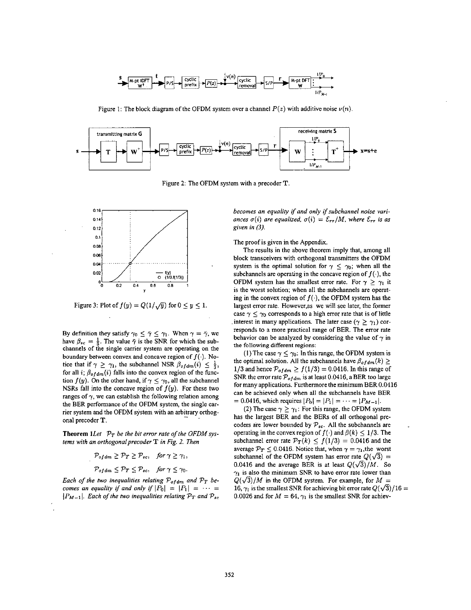

Figure 1: The block diagram of the OFDM system over a channel  $P(z)$  with additive noise  $\nu(n)$ .



Figure 2: The OFDM system with a precoder T.



Figure 3: Plot of  $f(y) = Q(1/\sqrt{y})$  for  $0 \le y \le 1$ .

By definition they satisfy  $\gamma_0 \leq \bar{\gamma} \leq \gamma_1$ . When  $\gamma = \bar{\gamma}$ , we have  $\beta_{sc} = \frac{1}{2}$ . The value  $\bar{\gamma}$  is the SNR for which the subchannels of the single carrier system are operating on the boundary between convex and concave region of  $f(\cdot)$ . Notice that if  $\gamma \geq \gamma_1$ , the subchannel NSR  $\beta_{\text{of}} d_m(i) \leq \frac{1}{3}$ , for all i;  $\beta_{ofdm}(i)$  falls into the convex region of the function  $f(y)$ . On the other hand, if  $\gamma \leq \gamma_0$ , all the subchannel NSRs fall into the concave region of  $f(y)$ . For these two ranges of  $\gamma$ , we can establish the following relation among the BER performance of the OFDM system, the single carrier system and the OFDM system with an arbitrary orthogonal precoder T.

**Theorem 1** Let  $P_T$  be the bit error rate of the OFDM systems with an orthogonal precoder  $T$  in Fig. 2. Then

$$
\mathcal{P}_{ofdm} \geq \mathcal{P}_T \geq \mathcal{P}_{sc}, \quad \text{for } \gamma \geq \gamma_1,
$$
\n
$$
\mathcal{P}_{ofdm} \leq \mathcal{P}_T \leq \mathcal{P}_{sc}, \quad \text{for } \gamma \leq \gamma_0.
$$

Each of the two inequalities relating  $P_{ofdm}$  and  $P_T$  becomes an equality if and only if  $|P_0| = |P_1| = \cdots$  $|P_{M-1}|$ . Each of the two inequalities relating  $P_T$  and  $P_{sc}$  becomes an equality if and only if subchannel noise variances  $\sigma(i)$  are equalized,  $\sigma(i) = \mathcal{E}_{rr}/M$ , where  $\mathcal{E}_{rr}$  is as given in  $(3)$ .

The proof is given in the Appendix.

The results in the above theorem imply that, among all block transceivers with orthogonal transmitters the OFDM system is the optimal solution for  $\gamma \leq \gamma_0$ ; when all the subchannels are operating in the concave region of  $f(\cdot)$ , the OFDM system has the smallest error rate. For  $\gamma \geq \gamma_1$  it is the worst solution; when all the subchannels are operating in the convex region of  $f(\cdot)$ , the OFDM system has the largest error rate. However, as we will see later, the former case  $\gamma \leq \gamma_0$  corresponds to a high error rate that is of little interest in many applications. The later case ( $\gamma \geq \gamma_1$ ) corresponds to a more practical range of BER. The error rate behavior can be analyzed by considering the value of  $\gamma$  in the following different regions:

(1) The case  $\gamma \leq \gamma_0$ : In this range, the OFDM system is the optimal solution. All the subchannels have  $\beta_{offdm}(k) \geq$ 1/3 and hence  $\mathcal{P}_{ofdm} \ge f(1/3) = 0.0416$ . In this range of SNR the error rate  $P_{ofdm}$  is at least 0.0416, a BER too large for many applications. Furthermore the minimum BER 0.0416 can be achieved only when all the subchannels have BER = 0.0416, which requires  $|P_0| = |P_1| = \cdots = |P_{M-1}|$ .

(2) The case  $\gamma \geq \gamma_1$ : For this range, the OFDM system has the largest BER and the BERs of all orthogonal precoders are lower bounded by  $\mathcal{P}_{sc}$ . All the subchannels are operating in the convex region of  $f(\cdot)$  and  $\beta(k) \leq 1/3$ . The subchannel error rate  $\mathcal{P}_T(k) \le f(1/3) = 0.0416$  and the average  $\mathcal{P}_T \leq 0.0416$ . Notice that, when  $\gamma = \gamma_1$ , the worst subchannel of the OFDM system has error rate  $Q(\sqrt{3}) =$ 0.0416 and the average BER is at least  $Q(\sqrt{3})/M$ . So  $\gamma_1$  is also the minimum SNR to have error rate lower than  $Q(\sqrt{3})/M$  in the OFDM system. For example, for  $M =$ 16,  $\gamma_1$  is the smallest SNR for achieving bit error rate  $Q(\sqrt{3})/16 =$ 0.0026 and for  $M = 64$ ,  $\gamma_1$  is the smallest SNR for achiev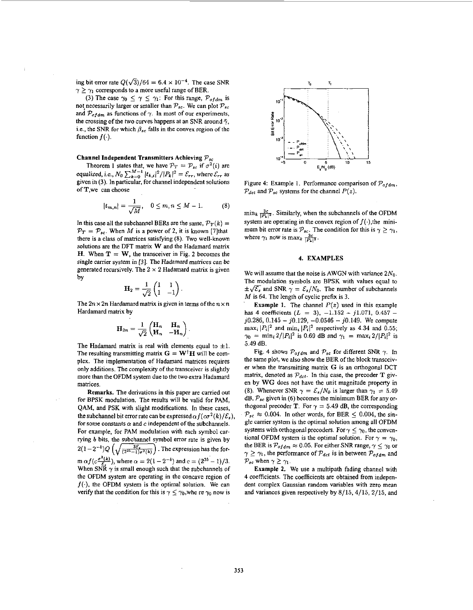ing bit error rate  $Q(\sqrt{3})/64 = 6.4 \times 10^{-4}$ . The case SNR  $\gamma \geq \gamma_1$  corresponds to a more useful range of BER.

(3) The case  $\gamma_0 \leq \gamma \leq \gamma_1$ : For this range,  $P_{ofdm}$  is not necessarily larger or smaller than  $P_{sc}$ . We can plot  $P_{sc}$ and  $P_{ofdm}$  as functions of  $\gamma$ . In most of our experiments, the crossing of the two curves happens at an SNR around  $\bar{\gamma}$ , i.e., the SNR for which  $\beta_{sc}$  falls in the convex region of the function  $f(\cdot)$ .

# Channel Independent Transmitters Achieving *P,,*

Theorem 1 states that, we have  $\mathcal{P}_T = \mathcal{P}_{sc}$  if  $\sigma^2(i)$  are equalized, i.e.,  $N_0 \sum_{k=0}^{M-1} |t_{k,i}|^2 / |P_k|^2 = \mathcal{E}_{rr}$ , where  $\mathcal{E}_{rr}$  as given in (3). In particular, for channel independent solutions of T,we can choose

$$
|t_{m,n}| = \frac{1}{\sqrt{M}}, \quad 0 \le m, n \le M - 1. \tag{8}
$$

In this case all the subchannel BERs are the same,  $\mathcal{P}_T(k) =$  $\mathcal{P}_T = \mathcal{P}_{sc}$ . When *M* is a power of 2, it is known [7]that there is a class of matrices satisfying **(8).** Two well-known solutions **are** the DFT matrix **W** and the Hadamard matrix **H.** When  $T = W$ , the transceiver in [Fig. 2](#page-0-0) becomes the single carrier system in [3]. The Hadamard matrices can be generated recursively. The  $2 \times 2$  **Hadamard matrix is given hv** *-I* 

$$
\mathbf{H}_2 = \frac{1}{\sqrt{2}} \begin{pmatrix} 1 & 1 \\ 1 & -1 \end{pmatrix}.
$$

The  $2n \times 2n$  Hardamard matrix is given in terms of the  $n \times n$ Hardamard matrix by

$$
\mathbf{H}_{2n} = \frac{1}{\sqrt{2}} \begin{pmatrix} \mathbf{H}_n & \mathbf{H}_n \\ \mathbf{H}_n & -\mathbf{H}_n \end{pmatrix}.
$$

The Hadamard matrix is real with elements equal to  $\pm 1$ . The resulting transmitting matrix  $G = W^{\dagger}H$  will be complex. The implementation of Hadamard matrices requires only additions. The complexity of the transceiver is slightly more than the OFDM system due to the two extra Hadamard matrices.

Remarks. The derivations in this paper are carried out for BPSK modulation. The results will be valid for PAM, QAM, and PSK with slight modifications. In these cases, the subchannel bit error rate can be expressed  $\alpha f(c\sigma^2(k)/\mathcal{E}_s)$ , for some constants  $\alpha$  and  $c$  independent of the subchannels. For example, for PAM modulation with each symbol carrying b bits, the subchannel symbol error rate is given by QAM, and PSK with slight modifications. In these cases, thogonal precoder T. For  $\gamma = 5$ .<br>
the subchannel bit error rate can be expressed  $\alpha f(c\sigma^2(k)/\mathcal{E}_s)$ ,  $\mathcal{P}_{sc} \approx 0.004$ . In other words, for<br>
for some constants  $m \alpha f(c \frac{\sigma^2(k)}{\epsilon})$ , where  $\alpha = 2(1-2^{-b})$  and  $c = (2^{2b}-1)/3$ . When SNR  $\gamma$  is small enough such that the subchannels of the OFDM system are operating in the concave region of  $f(\cdot)$ , the OFDM system is the optimal solution. We can verify that the condition for this is  $\gamma \leq \gamma_0$ , whe re  $\gamma_0$  now is



Figure 4: Example 1. Performance comparison of  $P_{ofdm}$ ,  $P_{\text{det}}$  and  $P_{\text{sc}}$  systems for the channel  $P(z)$ .

 $\min_k \frac{3c}{|P_k|^2}$ . Similarly, when the subchannels of the OFDM system are operating in the convex region of  $f(\cdot)$ , the minimum bit error rate is  $\mathcal{P}_{sc}$ . The condition for this is  $\gamma \geq \gamma_1$ , where  $\gamma_1$  now is max $\frac{3c}{\beta^2 k^2}$ .

### **4.** EXAMPLES

We will assume that the noise is AWGN with variance  $2N_0$ . The modulation symbols are BPSK with values equal to  $\pm\sqrt{\mathcal{E}_s}$  and SNR  $\gamma = \mathcal{E}_s/N_0$ . The number of subchannels *M* is 64. The length of cyclic prefix is 3.

**Example 1.** The channel  $P(z)$  used in this example has 4 coefficients  $(L = 3)$ ,  $-1.152 - j1.071$ ,  $0.457 - j1.071$ **j0.286, 0.145** - **jO.129, -0.0546** - **j0.149.** We compute  $\max_i |P_i|^2$  and  $\min_i |P_i|^2$  respectively as 4.34 and 0.55;  $\gamma_0 = \min_i 2/|P_i|^2$  is 0.69 dB and  $\gamma_1 = \max_i 2/|P_i|^2$  is **5.49** dB.

Fig. 4 shows  $P_{ofdm}$  and  $P_{sc}$  for different SNR  $\gamma$ . In the same plot, we also show the BER of the block transceiver when the transmitting matrix G is an orthogonal DCT matrix, denoted as  $P_{dct}$ . In this case, the precoder T given by **WG** does not have the unit magnitude property in (8). Whenever SNR  $\gamma = \mathcal{E}_s/N_0$  is larger than  $\gamma_1 = 5.49$ dB, *Psc* given in **(6)** becomes the minimum BER for any orthogonal precoder T. For  $\gamma = 5.49$  dB, the corresponding  $P_{sc} \approx 0.004$ . In other words, for BER  $\leq 0.004$ , the single carrier system is the optimal solution among all OFDM systems with orthogonal precoders. For  $\gamma \leq \gamma_0$ , the conventional OFDM system is the optimal solution. For  $\gamma = \gamma_0$ , the BER is  $\mathcal{P}_{ofdm} \approx 0.05$ . For either SNR range,  $\gamma \leq \gamma_0$  or  $\gamma \geq \gamma_1$ , the performance of  $\mathcal{P}_{\text{dct}}$  is in between  $\mathcal{P}_{\text{of dm}}$  and  $\mathcal{P}_{sc}$  when  $\gamma \geq \gamma_1$ .

Example *2.* We use a multipath fading channel with **4** coefficients. The coefficients are obtained from independent complex Gaussian random variables with zero mean and variances given respectively by **8/15,4/15, 2/15,** and